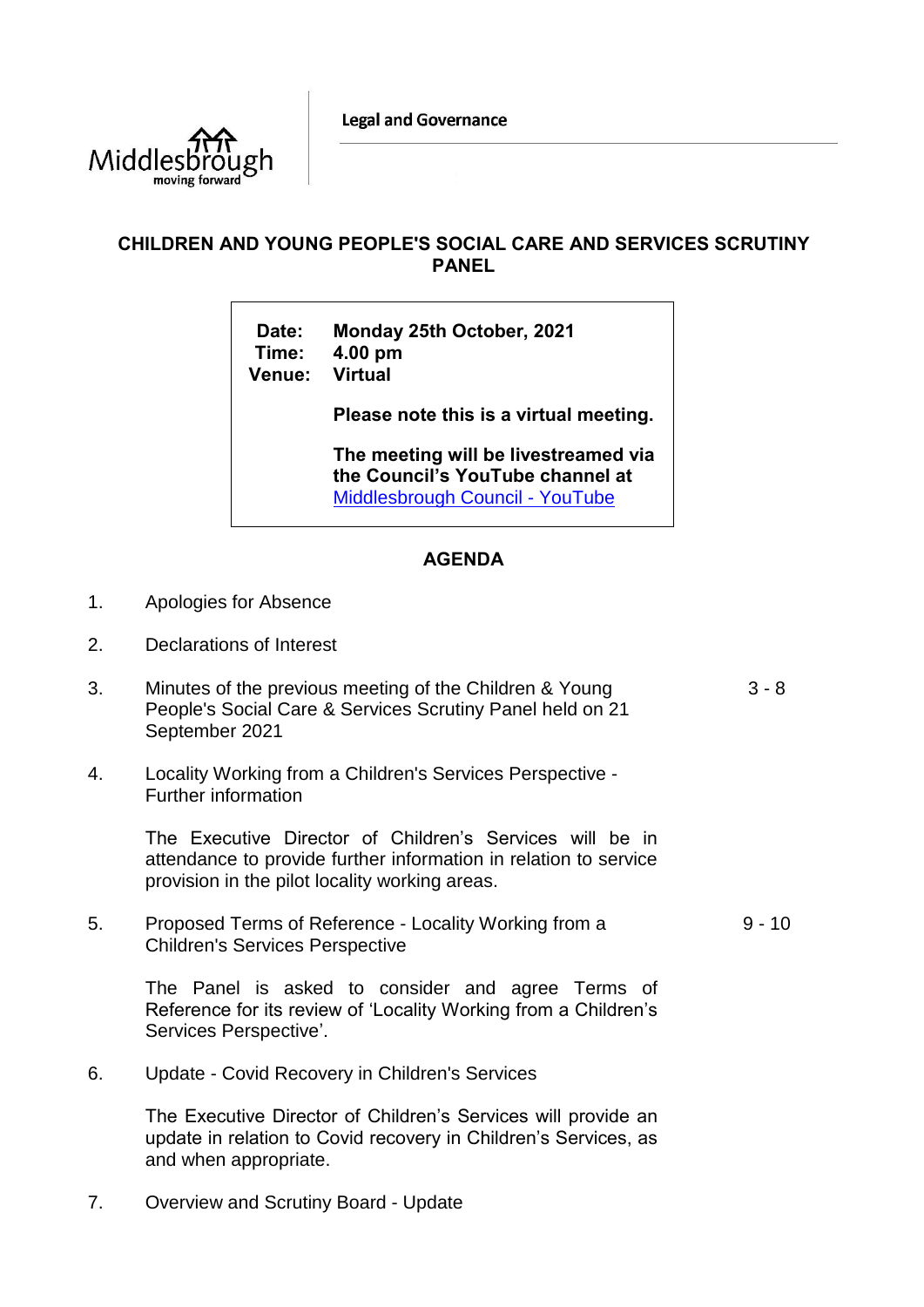**Legal and Governance** 



## **CHILDREN AND YOUNG PEOPLE'S SOCIAL CARE AND SERVICES SCRUTINY PANEL**

**Date: Monday 25th October, 2021 Time: 4.00 pm Venue: Virtual**

**Please note this is a virtual meeting.** 

**The meeting will be livestreamed via the Council's YouTube channel at**  [Middlesbrough Council -](https://www.youtube.com/user/middlesbroughcouncil) YouTube

## **AGENDA**

- 1. Apologies for Absence
- 2. Declarations of Interest
- 3. Minutes of the previous meeting of the Children & Young People's Social Care & Services Scrutiny Panel held on 21 September 2021 3 - 8
- 4. Locality Working from a Children's Services Perspective Further information

The Executive Director of Children's Services will be in attendance to provide further information in relation to service provision in the pilot locality working areas.

5. Proposed Terms of Reference - Locality Working from a Children's Services Perspective  $9 - 10$ 

The Panel is asked to consider and agree Terms of Reference for its review of 'Locality Working from a Children's Services Perspective'.

6. Update - Covid Recovery in Children's Services

The Executive Director of Children's Services will provide an update in relation to Covid recovery in Children's Services, as and when appropriate.

7. Overview and Scrutiny Board - Update